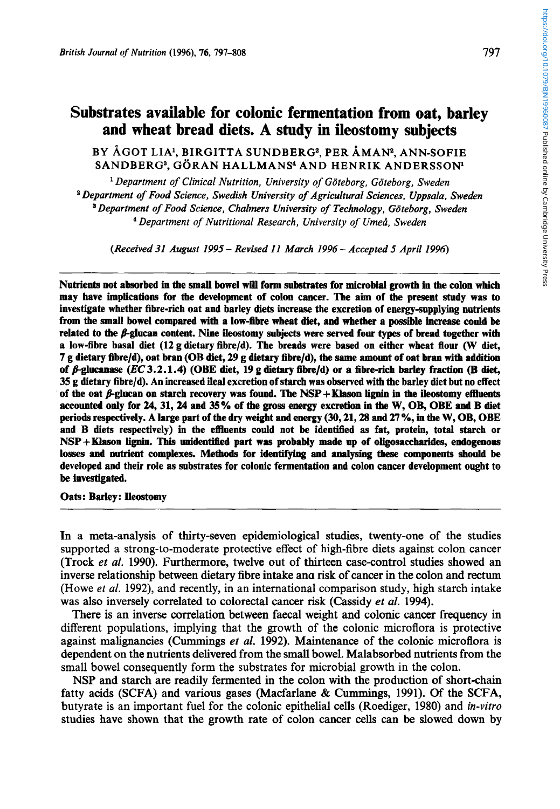# **Substrates available for colonic fermentation from oat, barley and wheat bread diets. A study in ileostomy subjects**

## BY ÅGOT LIA<sup>1</sup>, BIRGITTA SUNDBERG<sup>2</sup>, PER ÅMAN<sup>2</sup>, ANN-SOFIE SANDBERG3, GORAN HALLMANS' AND HENRIK ANDERSSON'

*Department of Clinical Nutrition, University of Goteborg, Goteborg, Sweden Department of Food Science, Swedish University of Agricultural Sciences, Uppsala, Sweden Department of Food Science, Chalmers University of Technology, Goteborg, Sweden Department of Nutritional Research, University of Umed, Sweden* 

*(Received 31 August 1995* - *Revised 11 March 1996* - *Accepted 5 April 1996)* 

Nutrients not absorbed in the **small** bowel will form substrates for microbial growth in the colon which may have implications for the development of colon cancer. The aim of **the** present study was to investigate whether fibre-rich oat and barley diets increase the excretion of energy-supplying nutrients from the **small** bowel compared with a low-fibre wheat diet, and whether a possible. increase could **be**  related to the  $\beta$ -glucan content. Nine ileostomy subjects were served four types of bread together with a low-fibre basal diet **(12** g dietary fibre/d). The breads were based on either wheat flour (W diet, **7** g dietary fibrela), oat bran (OB diet, **29 g** dietary fibrela), the same amount of oat bran with addition of /.Sglucanase *(EC* **3.2.1.4)** (OBE diet, **19** g dietary fibre/d) or **a** fibre-rich barley fraction (B diet, **35** g dietary fibreld). An increased ileal excretion of starch was observed with the barley diet but **no** effect of the oat  $\beta$ -glucan on starch recovery was found. The NSP + Klason lignin in the ileostomy effluents accounted only for **24,31,24** and **35%** of the *gross* energy excretion in **the W,** OB, OBE **and** B diet periods respectively. A large part of the dry weight and energy **(30,21,28** and **27** %, in the W, OB, OBE and B diets respectively) in the effluents could not be identified **as** fat, protein, total starch or NSP+Klason **lignin. Tbis** unidentified part was probably made up of oligosaccbarides, endogenous losses **and** nutrient complexes. Metbods for identifying and analyshg **these** components should **be**  developed and their role as substrates for colonic fermentation and colon cancer development ought to **be** investigated.

Oats: Barley: Ileostomy

In a meta-analysis of thirty-seven epidemiological studies, twenty-one of the studies supported a strong-to-moderate protective effect of high-fibre diets against colon cancer (Trock *et al.* 1990). Furthermore, twelve out of thirteen case-control studies showed an inverse relationship between dietary fibre intake ana risk of cancer in the colon and rectum (Howe *et al.* 1992), and recently, in an international comparison study, high starch intake was also inversely correlated to colorectal cancer risk (Cassidy et *al.* 1994).

There is an inverse correlation between faecal weight and colonic cancer frequency in different populations, implying that the growth of the colonic microflora is protective against malignancies (Cummings *et al.* 1992). Maintenance of the colonic microflora is dependent on the nutrients delivered from the small bowel. Malabsorbed nutrients from the small bowel consequently form the substrates for microbial growth in the colon.

NSP and starch are readily fermented in the colon with the production of short-chain fatty acids (SCFA) and various gases (Macfarlane & Cummings, 1991). Of the SCFA, butyrate is an important fuel for the colonic epithelial cells (Roediger, 1980) and *in-vitro*  studies have shown that the growth rate of colon cancer cells can be slowed down by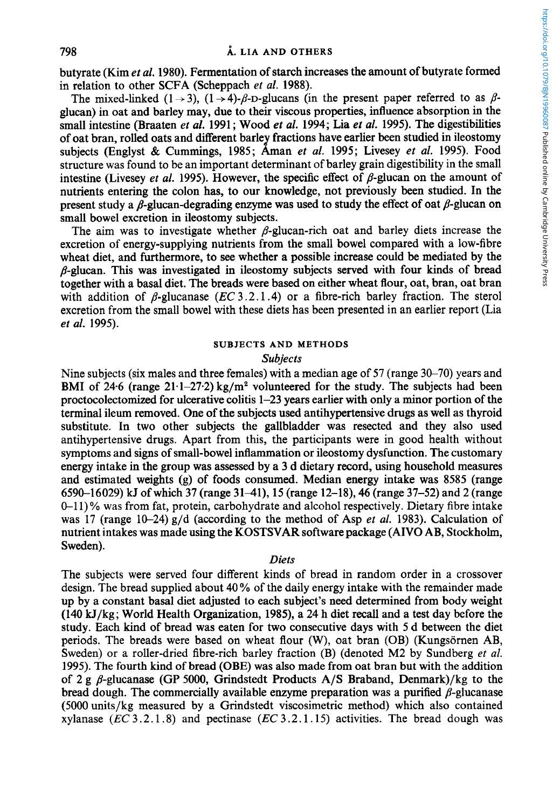butyrate (Kim *et al.* **1980).** Fermentation of starch increases the amount of butyrate formed in relation to other SCFA (Scheppach *et* al. **1988).** 

The mixed-linked  $(1 \rightarrow 3)$ ,  $(1 \rightarrow 4)$ - $\beta$ -D-glucans (in the present paper referred to as  $\beta$ glucan) in oat and barley may, due to their viscous properties, influence absorption in the small intestine (Braaten *et* al. **1991** ; Wood *et* al. **1994;** Lia *et al.* **1995).** The digestibilities of oat bran, rolled oats and different barley fractions have earlier been studied in ileostomy subjects (Englyst & Cummings, **1985;** Aman *et al.* **1995;** Livesey *et al.* **1995).** Food structure was found to be an important determinant of barley grain digestibility in the small intestine (Livesey *et al.* 1995). However, the specific effect of  $\beta$ -glucan on the amount of nutrients entering the colon has, to our knowledge, not previously been studied. In the present study a  $\beta$ -glucan-degrading enzyme was used to study the effect of oat  $\beta$ -glucan on small bowel excretion in ileostomy subjects.

The aim was to investigate whether  $\beta$ -glucan-rich oat and barley diets increase the excretion of energy-supplying nutrients from the small bowel compared with a low-fibre wheat diet, and furthermore, to see whether a possible increase could be mediated by the  $\beta$ -glucan. This was investigated in ileostomy subjects served with four kinds of bread together with a basal diet. The breads were based on either wheat flour, oat, bran, oat bran with addition of  $\beta$ -glucanase (EC 3.2.1.4) or a fibre-rich barley fraction. The sterol excretion from the small bowel with these diets has been presented in an earlier report (Lia *et al.* **1995).** 

## **SUBJECTS AND METHODS**

### *Subjects*

Nine subjects (six males and three females) with a median age of 57 (range 30–70) years and BMI of 24.6 (range  $21 \cdot 1 - 27 \cdot 2$ )  $\text{kg/m}^2$  volunteered for the study. The subjects had been proctocolectomized for ulcerative colitis **1-23** years earlier with only a minor portion of the terminal ileum removed. One of the subjects used antihypertensive drugs as well as thyroid substitute. In two other subjects the gallbladder was resected and they also used antihypertensive drugs. Apart from this, the participants were in good health without symptoms and signs of small-bowel inflammation or ileostomy dysfunction. The customary energy intake in the group was assessed by a **3** d dietary record, using household measures and estimated weights (g) of foods consumed. Median energy intake was **8585** (range **6590-16029)** kJ of which **37** (range **3141), 15** (range **12-18), 46** (range **37-52)** and **2** (range 0-1 **1)** % was from fat, protein, carbohydrate and alcohol respectively. Dietary fibre intake was **17** (range 10-24) g/d (according to the method of Asp *et al.* **1983).** Calculation of nutrient intakes was made using the KOSTSVAR software package (AIVO AB, Stockholm, Sweden).

### *Diets*

The subjects were served four different kinds of bread in random order in a crossover design. The bread supplied about 40% of the daily energy intake with the remainder made up by a constant basal diet adjusted to each subject's need determined from body weight **(140** kJ/kg; World Health Organization, **1985),** a 24 h diet recall and a test day before the study. Each kind of bread was eaten for two consecutive days with *5* d between the diet periods. The breads were based on wheat flour (W), oat bran (OB) (Kungsörnen AB, Sweden) or a roller-dried fibre-rich barley fraction (B) (denoted **M2** by Sundberg *et* al. **1995).** The fourth kind of bread (OBE) was also made from oat bran but with the addition of 2 g  $\beta$ -glucanase (GP 5000, Grindstedt Products A/S Braband, Denmark)/kg to the bread dough. The commercially available enzyme preparation was a purified  $\beta$ -glucanase (5000 units/kg measured by a Grindstedt viscosimetric method) which also contained xylanase (EC **3.2.1 .8)** and pectinase (EC **3.2.1 .15)** activities. The bread dough was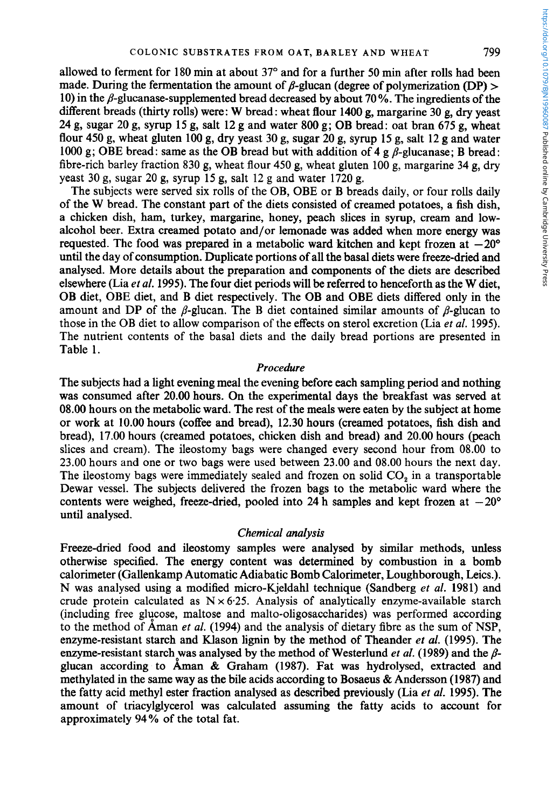allowed to ferment for **180** rnin at about **37"** and for a further **50** min after rolls had been made. During the fermentation the amount of  $\beta$ -glucan (degree of polymerization (DP) > 10) in the **b-glucanase-supplemented** bread decreased by about **70** %. The ingredients of the different breads (thirty rolls) were: W bread: wheat flour **1400** g, margarine **30** g, dry yeast **24** g, sugar **20** g, syrup **15** g, salt **12** g and water **800** g; OB bread: oat bran **675** g, wheat flour **450** g, wheat gluten **100** g, dry yeast **30** g, sugar **20** g, syrup 15 g, salt **12** g and water 1000 g; OBE bread: same as the OB bread but with addition of  $4 \text{ g } \beta$ -glucanase; B bread: fibre-rich barley fraction 830 g, wheat flour **450** g, wheat gluten **100** g, margarine **34** g, dry yeast 30 g, sugar **20** g, syrup **15** g, salt **12** g and water **1720** g.

The subjects were served six rolls of the OB, OBE or B breads daily, or four rolls daily of the W bread. The constant part of the diets consisted of creamed potatoes, a fish dish, a chicken dish, ham, turkey, margarine, honey, peach slices in syrup, cream and lowalcohol beer. Extra creamed potato and/or lemonade was added when more energy was requested. The food was prepared in a metabolic ward kitchen and kept frozen at  $-20^{\circ}$ until the day of consumption. Duplicate portions of all the basal diets were freeze-dried and analysed. More details about the preparation and components of the diets are described elsewhere (Lia *et al.* **1995).** The four diet periods will be referred to henceforth as the W diet, OB diet, OBE diet, and B diet respectively. The OB and OBE diets differed only in the amount and DP of the  $\beta$ -glucan. The B diet contained similar amounts of  $\beta$ -glucan to those in the OB diet to allow comparison of the effects on sterol excretion (Lia *et al.* **1995).**  The nutrient contents of the basal diets and the daily bread portions are presented in Table 1.

### *Procedure*

The subjects had a light evening meal the evening before each sampling period and nothing was consumed after **20.00** hours. On the experimental days the breakfast was served at 08.00 hours on the metabolic ward. The rest of the meals were eaten by the subject at home or work at **10.00** hours (coffee and bread), **12.30** hours (creamed potatoes, fish dish and bread), **17.00** hours (creamed potatoes, chicken dish and bread) and **20.00** hours (peach slices and cream). The ileostomy bags were changed every second hour from 08.00 to **23.00** hours and one or two bags were used between **23.00** and 08.00 hours the next day. The ileostomy bags were immediately sealed and frozen on solid CO, in a transportable Dewar vessel. The subjects delivered the frozen bags to the metabolic ward where the contents were weighed, freeze-dried, pooled into 24 h samples and kept frozen at  $-20^{\circ}$ until analysed.

### *Chemical analysis*

Freeze-dried food and ileostomy samples were analysed by similar methods, unless otherwise specified. The energy content was determined by combustion in a bomb calorimeter (Gallenkamp Automatic Adiabatic Bomb Calorimeter, Loughborough, Leics.). N was analysed using a modified micro-Kjeldahl technique (Sandberg *et al.* **1981)** and crude protein calculated as  $N \times 6.25$ . Analysis of analytically enzyme-available starch (including free glycose, maltose and malto-oligosaccharides) was performed according to the method of Aman *et al.* **(1994)** and the analysis of dietary fibre as the sum of NSP, enzyme-resistant starch and Klason lignin by the method of Theander *er al.* **(1995).** The enzyme-resistant starch was analysed by the method of Westerlund *et al.* (1989) and the  $\beta$ glucan according to Aman & Graham **(1987).** Fat was hydrolysed, extracted and methylated in the same way as the bile acids according to Bosaeus & Anderson **(1987)** and the fatty acid methyl ester fraction analysed as described previously (Lia *et al.* **1995).** The amount of triacylglycerol was calculated assuming the fatty acids to account for approximately **94%** of the total fat.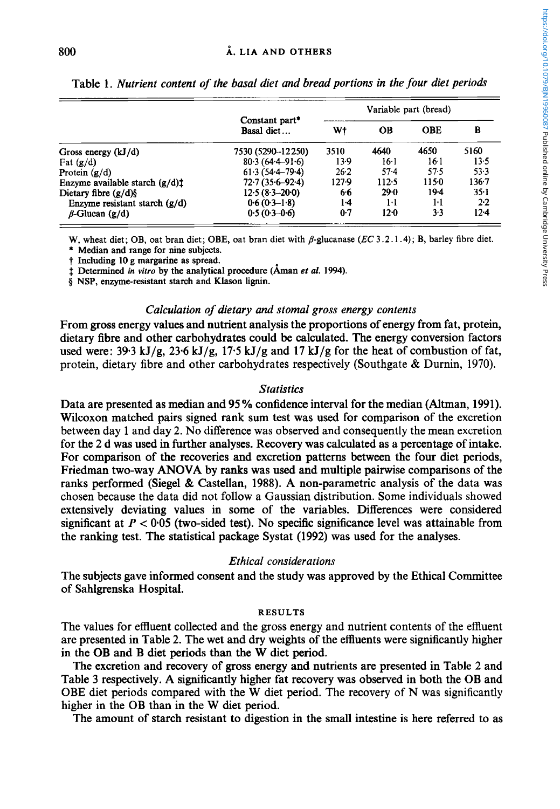| j                            |
|------------------------------|
|                              |
|                              |
|                              |
|                              |
|                              |
|                              |
|                              |
|                              |
| とこ こうこうこう しこうこうりょう           |
|                              |
|                              |
|                              |
|                              |
|                              |
|                              |
|                              |
|                              |
|                              |
|                              |
|                              |
|                              |
|                              |
|                              |
|                              |
|                              |
|                              |
|                              |
|                              |
|                              |
|                              |
|                              |
|                              |
|                              |
|                              |
|                              |
|                              |
|                              |
|                              |
|                              |
|                              |
|                              |
|                              |
|                              |
|                              |
|                              |
|                              |
|                              |
|                              |
|                              |
|                              |
|                              |
|                              |
|                              |
|                              |
|                              |
|                              |
|                              |
|                              |
|                              |
|                              |
| .<br>.<br>.                  |
|                              |
|                              |
|                              |
|                              |
|                              |
|                              |
|                              |
| i<br>:<br>:                  |
|                              |
|                              |
|                              |
|                              |
|                              |
|                              |
|                              |
|                              |
|                              |
|                              |
|                              |
| המוני ביו המה וה<br>$\vdots$ |

|                                  | Constant part*<br>Basal diet | Variable part (bread) |        |            |           |  |
|----------------------------------|------------------------------|-----------------------|--------|------------|-----------|--|
|                                  |                              | Wt                    | OВ     | <b>OBE</b> | в         |  |
| Gross energy $(kJ/d)$            | 7530 (5290-12250)            | 3510                  | 4640   | 4650       | 5160      |  |
| Fat $(g/d)$                      | $80.3(64.4 - 91.6)$          | 13.9                  | 16.1   | 16.1       | 13.5      |  |
| Protein $(g/d)$                  | $61.3(54.4 - 79.4)$          | 26.2                  | $57-4$ | 57.5       | 53.3      |  |
| Enzyme available starch $(g/d)t$ | $72.7(35.6 - 92.4)$          | $127-9$               | 112.5  | 1150       | $136 - 7$ |  |
| Dietary fibre $(g/d)$ §          | $12.5(8.3-20.0)$             | 66                    | 29.0   | 19-4       | $35-1$    |  |
| Enzyme resistant starch $(g/d)$  | $0.6(0.3-1.8)$               | $1-4$                 | $1-1$  | 1·1        | $2-2$     |  |
| $\beta$ -Glucan (g/d)            | $0.5(0.3-0.6)$               | $0-7$                 | $12-0$ | $3-3$      | $12 - 4$  |  |

Table 1. *Nutrient content of the basal diet and bread portions in the four diet periods* 

**W**, wheat diet; OB, oat bran diet; OBE, oat bran diet with  $\beta$ -glucanase  $(EC\ 3.2.1.4)$ ; **B**, barley fibre diet.

\* **Median and range for nine subjects.** 

 $\dagger$  Determined *in vitro* by the analytical procedure (Åman *et al.* 1994).

*8* **NSP, enzyme-resistant starch** and **Klason lignin.** 

### *Calculation of dietary and stoma1 gross energy contents*

From *gross* energy values and nutrient analysis the proportions of energy from fat, protein, dietary fibre and other carbohydrates could be calculated. The energy conversion factors used were:  $39.3$  kJ/g,  $23.6$  kJ/g,  $17.5$  kJ/g and  $17$  kJ/g for the heat of combustion of fat, protein, dietary fibre and other carbohydrates respectively (Southgate & Durnin, 1970).

## *Statistics*

Data are presented as median and 95% confidence interval for the median (Altman, 1991). Wilcoxon matched pairs signed rank sum test was used for comparison of the excretion between day 1 and day 2. No difference was observed and consequently the mean excretion for the 2 d was used in further analyses. Recovery was calculated as a percentage of intake. For comparison of the recoveries and excretion patterns between the four diet periods, Friedman two-way **ANOVA** by ranks was used and multiple pairwise comparisons of the ranks performed (Siege1 & Castellan, 1988). **A** non-parametric analysis of the data was chosen because the data did not follow a Gaussian distribution. Some individuals showed extensively deviating values in some of the variables. Differences were considered significant at  $P < 0.05$  (two-sided test). No specific significance level was attainable from the ranking test. The statistical package Systat (1992) was used for the analyses.

### *Ethical considerations*

The subjects gave informed consent and the study was approved by the Ethical Committee of Sahlgrenska Hospital.

### **RESULTS**

The values for effluent collected and the gross energy and nutrient contents of the effluent are presented in Table 2. The wet and dry weights of the effluents were significantly higher in the OB and B diet periods than the W diet period.

The excretion and recovery of **gross** energy and nutrients are presented in Table 2 and Table 3 respectively. **A** significantly higher fat recovery was observed in both the OB and OBE diet periods compared with the W diet period. The recovery of N was significantly higher in the OB than in the W diet period.

The amount of starch resistant to digestion in the small intestine is here referred to as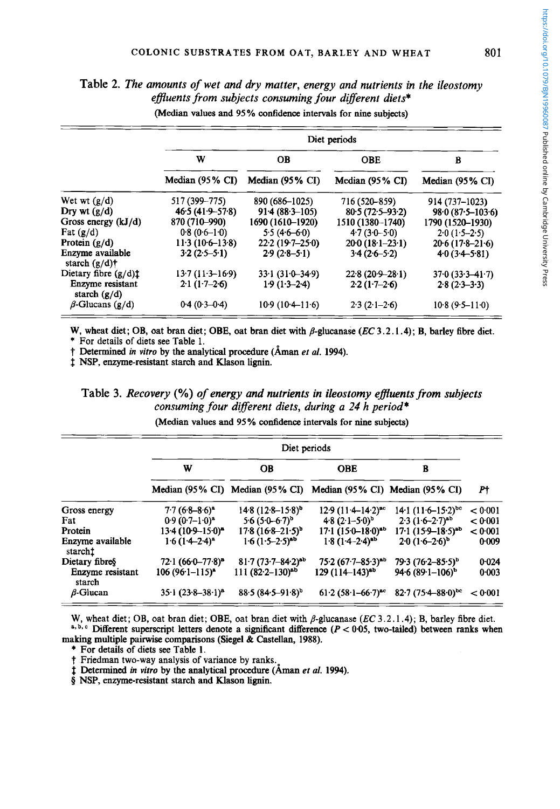|                                      | Diet periods        |                     |                     |                            |  |  |
|--------------------------------------|---------------------|---------------------|---------------------|----------------------------|--|--|
|                                      | W                   | OВ                  | OBE                 | в                          |  |  |
|                                      | Median (95% CI)     | Median (95% CI)     | Median (95% CI)     | Median $(95\% \text{ CI})$ |  |  |
| Wet wt $(g/d)$                       | 517 (399–775)       | 890 (686-1025)      | 716 (520–859)       | 914 (737–1023)             |  |  |
| Dry wt $(g/d)$                       | $46.5(41.9 - 57.8)$ | $91.4(88.3-105)$    | $80.5(72.5-93.2)$   | $98.0(87.5 - 103.6)$       |  |  |
| Gross energy $(kJ/d)$                | 870 (710-990)       | 1690 (1610–1920)    | 1510 (1380-1740)    | 1790 (1520-1930)           |  |  |
| Fat $(g/d)$                          | $0.8(0.6-1.0)$      | $5.5(4.6-6.0)$      | $4.7(3.0 - 5.0)$    | $2.0(1.5-2.5)$             |  |  |
| Protein $(g/d)$                      | $11.3(10.6-13.8)$   | $22.2(19.7-25.0)$   | $20.0(18.1-23.1)$   | $20.6(17.8-21.6)$          |  |  |
| Enzyme available<br>starch $(g/d)$ † | $3.2(2.5-5.1)$      | $2.9(2.8-5.1)$      | $3.4(2.6 - 5.2)$    | $40(3.4 - 5.81)$           |  |  |
| Dietary fibre $(g/d)$ :              | $13.7(11.3-16.9)$   | $33.1(31.0 - 34.9)$ | $22.8(20.9 - 28.1)$ | $37.0(33.3 - 41.7)$        |  |  |
| Enzyme resistant<br>starch $(g/d)$   | $2.1(1.7-2.6)$      | $1.9(1.3-2.4)$      | $2.2(1.7-2.6)$      | $2.8(2.3-3.3)$             |  |  |
| $\beta$ -Glucans (g/d)               | $0.4(0.3-0.4)$      | $10.9(10.4-11.6)$   | $2.3(2.1-2.6)$      | $10.8(9.5 - 11.0)$         |  |  |

**Table** *2. The amounts of wet and dry matter, energy and nutrients in the ileostorny efluents from subjects consuming four diferent diets\**  (Median values and 95 % confidence intervals for nine subjects)

W, wheat diet; OB, oat bran diet; OBE, oat bran diet with  $\beta$ -glucanase *(EC* 3.2.1.4); B, barley fibre diet.

\* For details of diets see Table 1.

t Determined *in vitro* by the analytical procedure (Aman et *al.* 1994).

 $†$  NSP, enzyme-resistant starch and Klason lignin.

# **Table** *3. Recovery* (%) *of energy and nutrients in ileostomy eflwnts from subjects consuming four diferent diets, during a 24 h period\**

(Median values and 95 % confidence intervals for nine subjects)

|                             | Diet periods                  |                                                                 |                           |                           |         |
|-----------------------------|-------------------------------|-----------------------------------------------------------------|---------------------------|---------------------------|---------|
|                             | w                             | <b>OB</b>                                                       | <b>OBE</b>                | в                         |         |
|                             |                               | Median (95% CI) Median (95% CI) Median (95% CI) Median (95% CI) |                           |                           | P†      |
| Gross energy                | $7.7(6.8-8.6)^{a}$            | $14.8 (12.8 - 15.8)^b$                                          | $12.9(11.4-14.2)^{ac}$    | $14.1 (11.6 - 15.2)^{bc}$ | < 0.001 |
| Fat                         | $0.9(0.7-1.0)^{a}$            | $5.6(5.0-6.7)^{b}$                                              | $4.8 (2.1 - 5.0)^{b}$     | $2.3(1.6-2.7)^{ab}$       | < 0.001 |
| Protein                     | 13.4 (10.9–15.0) <sup>a</sup> | $17.8(16.8-21.5)^{b}$                                           | $17.1 (15.0 - 18.0)^{ab}$ | $17.1(15.9-18.5)^{ab}$    | < 0.001 |
| Enzyme available<br>starcht | $1.6(1.4-2.4)^{a}$            | $1.6(1.5-2.5)$ <sup>ab</sup>                                    | $1.8(1.4-2.4)^{ab}$       | $2.0(1.6-2.6)^{b}$        | $0-009$ |
| Dietary fibres              | $72.1 (66.0 - 77.8)^{a}$      | $81.7(73.7 - 84.2)^{ab}$                                        | $75.2 (67.7 - 85.3)^{ab}$ | $79.3 (76.2 - 85.5)^b$    | 0.024   |
| Enzyme resistant<br>starch  | $106 (96-1115)^{a}$           | $111 (82.2 - 130)^{ab}$                                         | $129(114-143)^{ab}$       | $94.6(89.1-106)^{b}$      | 0:003   |
| $\beta$ -Glucan             | $35.1(23.8-38.1)^a$           | $88.5(84.5-91.8)^{5}$                                           | $61.2 (58.1 - 66.7)^{ac}$ | $82.7(75.4 - 88.0)^{bc}$  | < 0.001 |

W, wheat diet; OB, oat bran diet; OBE, oat bran diet with  $\beta$ -glucanase (EC 3.2.1.4); B, barley fibre diet. **a, b, c** Different superscript letters denote a significant difference  $(P < 0.05$ , two-tailed) between ranks when making multiple pairwise comparisons (Siegel & Castellan, 1988).

\* For details of diets **see** Table 1.

t Friedman two-way analysis of variance by ranks.

# Determined *in vitro* by the analytical procedure (Aman et *al.* 1994).

**5** NSP, enzyme-resistant starch and Klason lignin.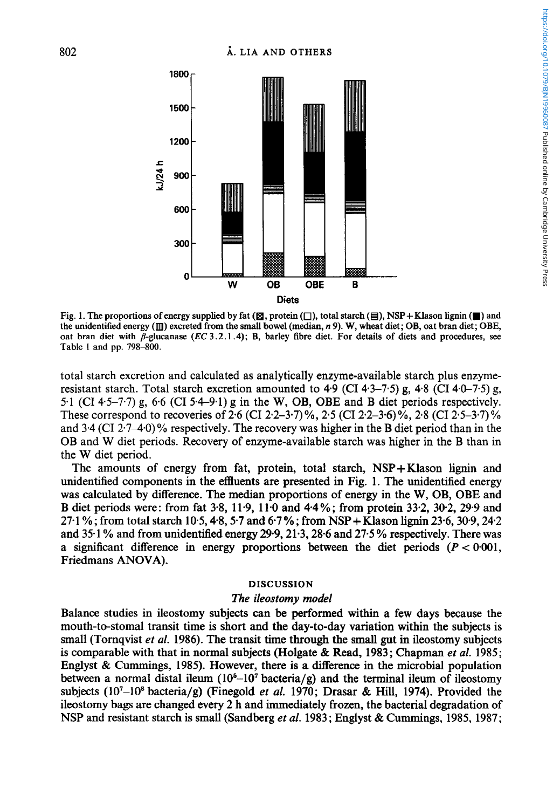

**Fig. 1. The proportions of energy supplied by fat**  $(\mathbb{E}$ **, protein**  $(\Box)$ **, total starch**  $(\boxminus)$ **, NSP+Klason lignin**  $(\blacksquare)$  **and the unidentified energy** (m) **excreted from the small bowel (median,** *R* **9). W, wheat diet; OB, oat bran diet; OBE,**  oat bran diet with  $\beta$ -glucanase (*EC* 3.2.1.4); B, barley fibre diet. For details of diets and procedures, see **Table 1 and pp. 798-800.** 

total starch excretion and calculated as analytically enzyme-available starch plus enzymeresistant starch. Total starch excretion amounted to **4.9** (CI **4.3-7.5)** g, **4.8** (CI **44-7.5)** g, 5.1 (CI 4.5-7.7) g, 6.6 (CI **5.49.1)** g in the W, OB, OBE and B diet periods respectively. These correspond to recoveries of **2.6** (CI **2.2-3-7)** %, **2.5** (CI **2.2-3.6)** %, **2-8** (CI **2.5-3.7)** *Yo*  and  $3.4$  (CI 2.7–4.0)% respectively. The recovery was higher in the B diet period than in the OB and W diet periods. Recovery of enzyme-available starch was higher in the B than in the W diet period.

The amounts of energy from fat, protein, total starch, NSP+Klason lignin and unidentified components in the effluents are presented in Fig. **1.** The unidentified energy was calculated by difference. The median proportions of energy in the W, OB, OBE and B diet periods were: from fat **3.8, 11.9, 11.0** and **4.4** % ; from protein **33.2, 302, 29.9** and **27.1** % ; from total starch **10-5,4\*8,5.7** and **6.7** % ; from NSP + Klason lignin **23.6,30.9,24.2**  and **351** % and from unidentified energy **29-9,21\*3,28-6** and **27.5** % respectively. There was a significant difference in energy proportions between the diet periods  $(P < 0.001$ , Friedmans **ANOVA).** 

## **DISCUSSION**

#### *The ileostomy model*

Balance studies in ileostomy subjects can be performed within a few days because the mouth-to-stoma1 transit time is short and the day-to-day variation within the subjects is small (Tornqvist et al. **1986).** The transit time through the small gut in ileostomy subjects is comparable with that in normal subjects (Holgate & Read, **1983;** Chapman *et al.* **1985;**  Englyst & Cummings, **1985).** However, there is a difference in the microbial population between a normal distal ileum  $(10<sup>6</sup>-10<sup>7</sup>$  bacteria/g) and the terminal ileum of ileostomy subjects **(107-108** bacteria/g) (Finegold *et al.* **1970;** Drasar & **Hill, 1974).** Provided the ileostomy bags are changed every **2** h and immediately frozen, the bacterial degradation of NSP and resistant starch is small (Sandberg *et al.* **1983;** Englyst & Cummings, **1985, 1987;**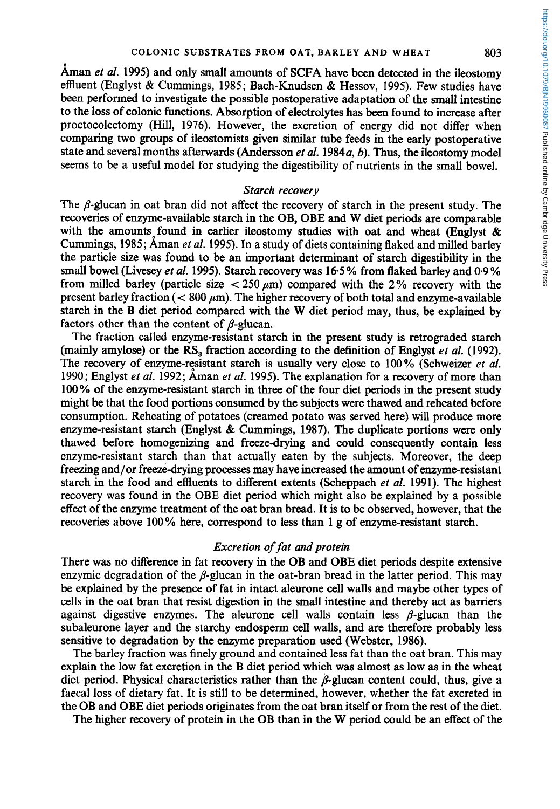Aman *et* al. **1995)** and only small amounts of **SCFA** have been detected in the ileostomy effluent (Englyst & Cummings, **1985;** Bach-Knudsen & Hessov, **1995).** Few studies have been performed to investigate the possible postoperative adaptation of the small intestine to the loss of colonic functions. Absorption of electrolytes has been found to increase after proctocolectomy (Hill, **1976).** However, the excretion of energy did not differ when comparing two groups of ileostomists given similar tube feeds in the early postoperative state and several months afterwards (Andersson *et* al. **1984a,** *b).* Thus, the ileostomy model seems to be a useful model for studying the digestibility of nutrients in the small bowel.

### *Starch recovery*

The  $\beta$ -glucan in oat bran did not affect the recovery of starch in the present study. The recoveries of enzyme-available starch in the OB, OBE and W diet periods are comparable with the amounts found in earlier ileostomy studies with oat and wheat (Englyst  $\&$ Cummings, **1985;** Aman et al. **1995).** In a study of diets containing flaked and milled barley the particle size was found to be an important determinant of starch digestibility in the small bowel (Livesey *et* al. **1995).** Starch recovery was **16.5** % from flaked barley and **0-9** % from milled barley (particle size  $\lt$  250  $\mu$ m) compared with the 2% recovery with the present barley fraction ( $< 800 \mu m$ ). The higher recovery of both total and enzyme-available starch in the B diet period compared with the **W** diet period may, thus, be explained by factors other than the content of  $\beta$ -glucan.

The fraction called enzyme-resistant starch in the present study is retrograded starch (mainly amylose) or the **RS,** fraction according to the definition of Englyst *et al.* **(1992).**  The recovery of enzyme-resistant starch is usually very close to **100%** (Schweizer et al. **1990;** Englyst *et* al. **1992;** Aman *et* al. **1995).** The explanation for a recovery of more than **100** % of the enzyme-resistant starch in three of the four diet periods in the present study might be that the food portions consumed by the subjects were thawed and reheated before consumption. Reheating of potatoes (creamed potato was served here) will produce more enzyme-resistant starch (Englyst & Cummings, **1987).** The duplicate portions were only thawed before homogenizing and freeze-drying and could consequently contain less enzyme-resistant starch than that actually eaten by the subjects. Moreover, the deep freezing and/or freeze-drying processes may have increased the amount of enzyme-resistant starch in the food and effluents to different extents (Scheppach *et* al. **1991).** The highest recovery was found in the OBE diet period which might also be explained by a possible effect of the enzyme treatment of the oat bran bread. It is to be observed, however, that the recoveries above **100%** here, correspond to less than **1** g of enzyme-resistant starch.

## *Excretion of fat and protein*

There was no difference in fat recovery in the OB and OBE diet periods despite extensive enzymic degradation of the  $\beta$ -glucan in the oat-bran bread in the latter period. This may be explained by the presence of fat in intact aleurone cell walls and maybe other types of cells in the oat bran that resist digestion in the small intestine and thereby act as barriers against digestive enzymes. The aleurone cell walls contain less  $\beta$ -glucan than the subaleurone layer and the starchy endosperm cell walls, and are therefore probably less sensitive to degradation by the enzyme preparation used (Webster, **1986).** 

The barley fraction was finely ground and contained less fat than the oat bran. This may explain the low fat excretion in the B diet period which was almost as low as in the wheat diet period. Physical characteristics rather than the  $\beta$ -glucan content could, thus, give a faecal loss of dietary fat. It is still to be determined, however, whether the fat excreted in the OB and OBE diet periods originates from the oat bran itself or from the rest of the diet.

The higher recovery of protein in the OB than in the W period could be an effect of the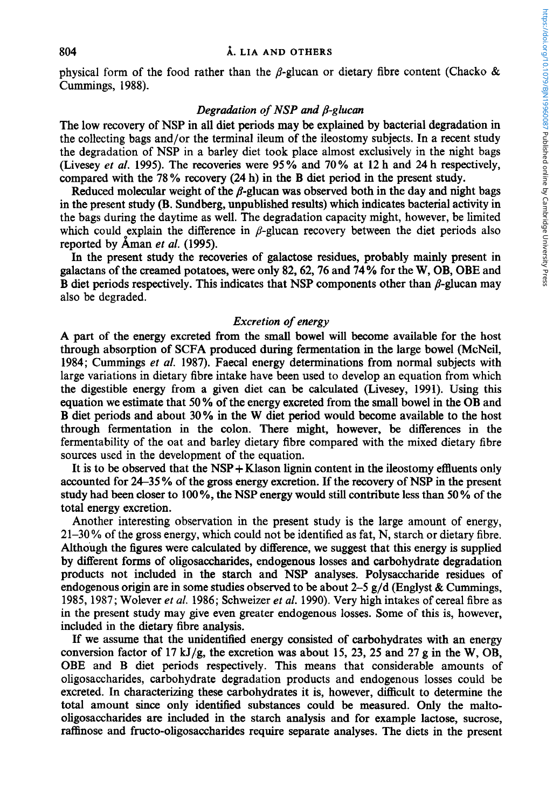## 804 **A. LIA** AND **OTHERS**

physical form of the food rather than the  $\beta$ -glucan or dietary fibre content (Chacko & Cummings, 1988).

## *Degradation of NSP and \$-gluean*

The low recovery of **NSP** in all diet periods may be explained by bacterial degradation in the collecting bags and/or the terminal ileum of the ileostomy subjects. In a recent study the degradation of **NSP** in a barley diet took place almost exclusively in the night bags (Livesey *et al.* 1995). The recoveries were 95% and 70% at 12 h and 24 h respectively, compared with the 78% recovery (24 h) in the B diet period in the present study.

Reduced molecular weight of the  $\beta$ -glucan was observed both in the day and night bags in the present study (B. Sundberg, unpublished results) which indicates bacterial activity in the bags during the daytime as well. The degradation capacity might, however, be limited which could explain the difference in  $\beta$ -glucan recovery between the diet periods also reported by Aman *et al.* (1995).

In the present study the recoveries of galactose residues, probably mainly present in galactans of the creamed potatoes, were only 82,62,76 and **74** % for the W, **OB,** OBE and B diet periods respectively. This indicates that NSP components other than  $\beta$ -glucan may also be degraded.

## *Excretion of energy*

**A** part of the energy excreted from the small bowel will become available for the host through absorption of SCFA produced during fermentation **in** the large bowel (McNeil, 1984; Cummings et *al.* 1987). Faecal energy determinations from normal subjects with large variations in dietary fibre intake have been used to develop an equation from which the digestible energy from a given diet can be calculated (Livesey, 1991). Using this equation we estimate that 50 % of the energy excreted from the small bowel in the **OB** and B diet periods and about 30% in the W diet period would become available to the host through fermentation in the colon. There might, however, be differences in the fermentability of the oat and barley dietary fibre compared with the mixed dietary fibre sources used in the development of the equation.

It is to be observed that the NSP + Klason lignin content **in** the ileostomy effluents only accounted for 24-35 *YO* of the **gross** energy excretion. If the recovery of **NSP** in the present study had been closer to 100 %, the **NSP** energy would still contribute less than 50 % of the total energy excretion.

Another interesting observation in the present study is the large amount of energy, 21-30 *YO* of the gross energy, which could not be identified as fat, **N,** starch or dietary fibre. Although the figures were calculated by difference, we suggest that this energy is supplied by different forms of oligosaccharides, endogenous losses and carbohydrate degradation products not included in the starch and **NSP** analyses. Polysaccharide residues of endogenous origin are in some studies observed to be about 2-5  $g/d$  (Englyst & Cummings, 1985, 1987; Wolever *ef al.* 1986; Schweizer *et al.* 1990). Very high intakes of cereal fibre as in the present study may give even greater endogenous losses. Some of this is, however, included in the dietary fibre analysis.

If we assume that the unidentified energy consisted of carbohydrates with an energy conversion factor of 17 kJ/g, the excretion was about 15, 23, 25 and 27 g in the W, OB, **OBE** and B diet periods respectively. **This** means that considerable amounts of oligosaccharides, carbohydrate degradation products and endogenous losses could be excreted. In characterizing these carbohydrates it is, however, difficult to determine the total amount since only identified substances could be measured. Only the maltooligosaccharides are included in the starch analysis and for example lactose, sucrose, raffinose and fructo-ohgosaccharides require separate analyses. The diets in the present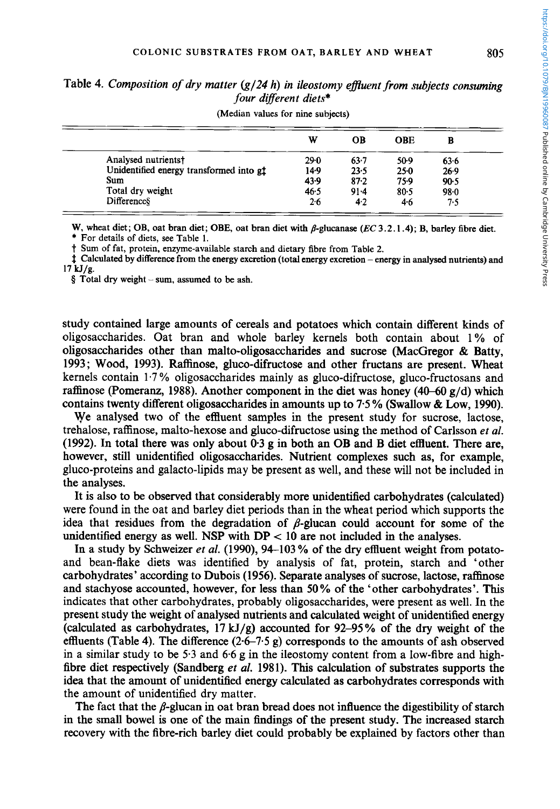Table *4. Composition of dry matter (g/24 h) in ileostomy efluentfrom subjects consuming*  four different diets\*

| w        | OВ     | OBE     | в    |              |
|----------|--------|---------|------|--------------|
| $29 - 0$ | 63.7   | 50-9    | 63.6 |              |
| 14.9     | 23.5   | 250     | 26.9 |              |
| 43.9     | 87.2   | 75.9    |      |              |
| 46.5     | $91-4$ |         |      |              |
| 2.6      | 4.2    | $4 - 6$ | 7.5  |              |
|          |        |         | 80.5 | 90.5<br>98.0 |

**(Median values for nine subjects)** 

W, wheat diet; OB, oat bran diet; OBE, oat bran diet with  $\beta$ -glucanase (EC 3.2.1.4); B, barley fibre diet. \* **For details of diets, see Table 1.** 

t **Sum** *of* **fat, protein, enzyme-available starch and dietary fibre from Table 2.** 

1 **Calculated by difference from the energy excretion (total energy excretion** - **energy in analysed nutrients) and 17 kJ/g.** 

**<sup>4</sup>Total dry weight** - **sum, assumed to be ash.** 

study contained large amounts of cereals and potatoes which contain different kinds of oligosaccharides. Oat bran and whole barley kernels both contain about 1% of oligosaccharides other than malto-oligosaccharides and sucrose (MacGregor & Batty, 1993; Wood, 1993). Raffinose, gluco-difructose and other fructans are present. Wheat kernels contain 1.7 % oligosaccharides mainly as gluco-difructose, gluco-fructosans and raffinose (Pomeranz, 1988). Another component in the diet was honey **(40-60** g/d) which contains twenty different oligosaccharides in amounts up to 7.5 % (Swallow & Low, 1990).

We analysed two of the effluent samples in the present study for sucrose, lactose, trehalose, raffinose, malto-hexose and gluco-difructose using the method of Carlsson *et al.*  (1992). In total there was only about 0.3 g in both an OB and B diet effluent. There are, however, still unidentified oligosaccharides. Nutrient complexes such as, for example, gluco-proteins and galacto-lipids may be present as well, and these will not be included in the analyses.

It is also to be observed that considerably more unidentified carbohydrates (calculated) were found in the oat and barley diet periods than in the wheat period which supports the idea that residues from the degradation of  $\beta$ -glucan could account for some of the unidentified energy as well. NSP with  $DP < 10$  are not included in the analyses.

In a study by Schweizer *et al.* (1990), 94-103 % of the dry effluent weight from potatoand bean-flake diets was identified by analysis of fat, protein, starch and 'other carbohydrates' according to Dubois (1956). Separate analyses of sucrose, lactose, raffinose and stachyose accounted, however, for less than **50%** of the 'other carbohydrates'. This indicates that other carbohydrates, probably oligosaccharides, were present as well. In the present study the weight of analysed nutrients and calculated weight of unidentified energy (calculated as carbohydrates,  $17 \text{ kJ/g}$ ) accounted for 92–95% of the dry weight of the effluents (Table **4).** The difference (2.67.5 g) corresponds to the amounts of ash observed in a similar study to be **5.3** and 6.6 g in the ileostomy content from a low-fibre and highfibre diet respectively (Sandberg et *al.* 1981). This calculation of substrates supports the idea that the amount of unidentified energy calculated as carbohydrates corresponds with the amount of unidentified dry matter.

The fact that the  $\beta$ -glucan in oat bran bread does not influence the digestibility of starch in the small bowel is one of the main findings of the present study. The increased starch recovery with the fibre-rich barley diet could probably be explained by factors other than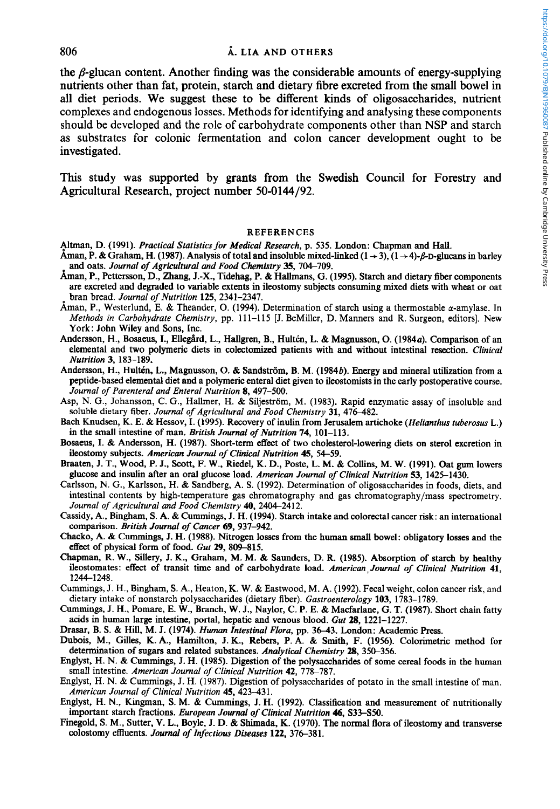### 806 **A.** LIA AND OTHERS

the  $\beta$ -glucan content. Another finding was the considerable amounts of energy-supplying nutrients other than fat, protein, starch and dietary fibre excreted from the small bowel in all diet periods. We suggest these to be different kinds of oligosaccharides, nutrient complexes and endogenous losses. Methods for identifying and analysing these components should be developed and the role of carbohydrate components other than NSP and starch as substrates for colonic fermentation and colon cancer development ought to be investigated.

This study was supported by grants from the Swedish Council for Forestry and Agricultural Research, project number **50-0144/92.** 

#### REFERENCES

- bltman, D. (1991). *Practical Statistics for Medical Research,* p. 535. London: Chapman and Hall.
- Aman, P. & Graham, H. (1987). Analysis of total and insoluble mixed-linked  $(1 \rightarrow 3)$ ,  $(1 \rightarrow 4)$ - $\beta$ -D-glucans in barley and oats. *Journal of Agricultural and Food Chemistry* **35,** 704-709.
- Aman, P., Pettersson, D., Zhang, **J.-X.,** Tidehag, P. & Hallmans, G. (1995). Starch and dietary fiber components are excreted and degraded to variable extents in ileostomy subjects consuming mixed diets with wheat or oat bran bread. *Journal of Nutrition* **125,** 2341-2347.
- Aman, P., Westerlund, E. & Theander, O. (1994). Determination of starch using a thermostable  $\alpha$ -amylase. In *Methods in Carbohydrate Chemistry,* pp. 11 1-1 15 [J. BeMiller, D. Manners and R. Surgeon, editors]. New York: John Wiley and Sons, Inc.
- Andersson, H., Bosaeus, I., Ellegård, L., Hallgren, B., Hultén, L. & Magnusson, O. (1984a). Comparison of an elemental and **two** polymeric diets in colectomized patients with and without intestinal resection. *Clinical Nutrition* **3,** 18S-189.
- Andersson, H., Hultén, L., Magnusson, O. & Sandström, B. M. (1984b). Energy and mineral utilization from a peptide-based elemental diet and a polymeric enteral diet given **to** ileostomists in the early postoperative course. Journal of Parenteral and Enteral Nutrition 8, 497-500.
- Asp, N. G., Johansson, C. G., Hallmer, H. & Siljeström, M. (1983). Rapid enzymatic assay of insoluble and soluble dietary fiber. *Journal of Agricultural and Food Chemistry* 31, 476-482.
- Bach Knudsen, K. E. & Hessov, I. (1995). Recovery of inulin from Jerusalem artichoke *(Helianthus tuberosus* **L.)**  in the small intestine of man. *British Journal of Nutrition* **74,** 101-113.
- Bosaeus, I. & Andersson, H. (1987). Short-term effect of **two** cholesterol-lowering diets on sterol excretion in ileostomy subjects. *American Journal of Clinical Nutrition* **45,** 54-59.
- Braaten, J. T., Wood, P. J., Scott, F. W., Riedel, K. D., Poste, L. M. & Collins, M. W. (1991). Oat gum lowers glucose and insulin after an oral glucose load. *American Journal of Clinical Nutrition* **53,** 1425-1430.
- Carlsson, N. G., Karlsson, **H.** & Sandberg, **A. S.** (1992). Determination of oligosaccharides in foods, diets, and intestinal contents by high-temperature gas chromatography and gas chromatography/mass spectrometry. *Journal of Agricultural and Food Chemistry* **40,** 2404-2412.
- Cassidy, A., Bingham, **S.** A. & Cummings, J. H. (1994). Starch intake and colorectal cancer risk: an international comparison. *British Journal of Cancer 69,* 937-942.
- Chacko, A. & Cummings, J. H. (1988). Nitrogen losses from the human **small** bowel: obligatory losses and the effect of physical form of food. *Gut* 29, 809-815.
- Chapman, R. W., Sillery, J. K., Graham, M. M. & Saunders, D. R. (1985). Absorption of starch by healthy ileostomates: effect of transit time and of carbohydrate load. *American-Journal of Clinical Nutrition* **41,**  1244-1 248.
- Cummings, J. H., Bingham, **S.** A,, Heaton, K. W. & Eastwood, M. A. (1992). Fecal weight, colon cancer risk, and dietary intake of nonstarch polysaccharides (dietary fiber). *Gastroenterology* **103,** 1783-1789.
- Cummings, J. H., Pomare, E. W., Branch, W. J., Naylor, C. P. E. & Macfarlane, G. T. (1987). Short chain fatty acids in human large intestine, portal, hepatic and venous blood. *Gut* **28,** 1221-1227.

Drasar, B. **S.** & Hill, M. J. (1974). *Human Intestinal Flora,* pp. 3643. London: Academic Press.

- Dubois, M., Gilles, K. A., Hamilton, J. K., Reben, P. A. & **Smith,** F. (1956). Colorimetric method for determination of sugars and related substances. *Analytical Chemistry* 28, 350–356.
- Englyst, H. N. & Cummings, J. H. (1985). Digestion of the polysaccharides of some cereal foods in the human small intestine. *American Journal of CIinicaI Nutrition* **42,** 778-787.
- Englyst, H. N. & Cummings, J. H. (1987). Digestion of polysaccharides of potato in the small intestine of man. *American Journal of Clinical Nutrition* **45,** 423-431.
- Englyst, H. N., Kingman, **S.** M. & Cummings, J. H. (1992). Classification and measurement of nutritionally important starch fractions. *European Journal of Clinical Nutrition 46,* S33-S50.
- Finegold, **S.** M., Sutter, **V. L.,** Boyle, J. D. & Shimada, K. (1970). The normal flora of ileostomy and transverse colostomy effluents. *Journal of Infectious Diseases* 122, 376-381.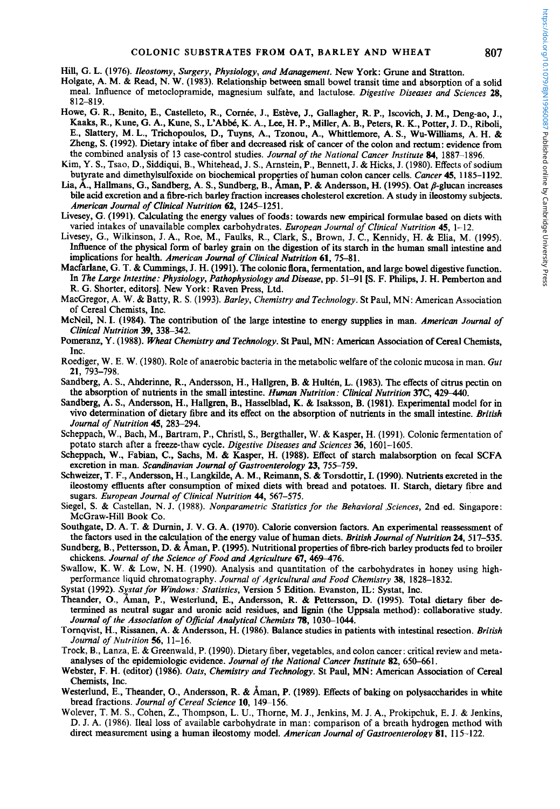Hill, G. *L.* (1976). *Ileostomy, Surgery, Physiology, and Management.* New York: Grune and Stratton.

- Holgate, A. M. & Read, N. **W.** (1983). Relationship between small bowel transit time and absorption of a solid meal. Influence of metoclopramide, magnesium sulfate, and lactulose. *Digestive Diseases and Sciences* **28,**  8 12-8 19.
- Howe, G. R., Benito, E., Castelleto, R., Cornée, J., Estève, J., Gallagher, R. P., Iscovich, J. M., Deng-ao, J., Kaaks, R., Kune, G. A., Kune, S., L'AbW, K. A., **Lee,** H. P., Miller, A. B., Peters, R. K., Potter, J. D., Riboli, E., Slattery, M. **L.,** Trichopoulos, D., Tuyns, A., Tzonou, A., Whittlemore, A. S., Wu-Williams, A. H. & Zheng, S. (1992). Dietary intake of fiber and decreased risk of cancer of the colon and rectum: evidence from the combined analysis of 13 case-control studies. *Journal of the National Cancer Institute 84,* 1887-1896.
- Kim, Y. S., Tsao, D., Siddiqui, B., Whitehead, J. S., Arnstein, P., Bennett, J. & Hicks, J. (1980). Effects of sodium butyrate and dimethylsulfoxide on biochemical properties of human colon cancer cells. *Cancer* **45**, 1185–1192.
- Lia, A., Hallmans, G., Sandberg, A. S., Sundberg, B., Aman, P. & Andersson, H. (1995). Oat  $\beta$ -glucan increases bile acid excretion and a fibre-rich barley fraction increases cholesterol excretion. A study in ileostomy subjects. *American Journal of Clinical Nutrition* 62, 1245-1251.
- Livesey, G. (1991). Calculating the energy values **of** foods: towards new empirical formulae based on diets with varied intakes of unavailable complex carbohydrates. *European Journal of Clinical Nutrition* 45, 1–12.<br>Livesey, G., Wilkinson, J. A., Roe, M., Faulks, R., Clark, S., Brown, J. C., Kennidy, H. & Elia, M. (1995).
- Inhence of the physical **form** of barley grain **on** the digestion of its starch in the human small intestine and implications for health. *American Journal of Clinical Nutrition* **61,** 75-81.
- Macfarlane, G. T. & Cummings, J. H. (1991). The colonic flora, fermentation, and large bowel digestive function. **In** *The Large Intestine: Physiology, Pathophysiology and Disease,* pp. 51-91 *[S.* F. Philips, J. H. Pemberton and R. G. Shorter, editors]. New York: Raven Press, Ltd.
- MacGregor, A. W. & Batty, R. **S.** (1993). *Barley, Chemistry and Technology.* St Paul, MN: American Association of Cereal Chemists, Inc.
- McNeil, N. I. (1984). The contribution of the large intestine to energy supplies in man. *American Journal of Clinical Nutrition* 39, **338-342.**
- Pomeranz, Y. (1988). *Wheat Chemistry and Technology.* St Paul, MN: American Association of Cereal Chemists, Inc.
- Roediger, W. E. W. (1980). Role of anaerobic bacteria in the metabolic welfare of the colonic mucosa in man. *Gut*  **21,** 793-798.
- Sandberg, A. *S.,* Ahderinne, R., Andersson, H., Hallgren, B. & Hulten, L. (1983). The effects of citrus **pectin on**  the absorption of nutrients in the small intestine. *Human Nutrition: Clinical Nutrition* 37C, 429-440.
- Sandberg, A. S., Andersson, H., Hallgren, B., Hasselblad, K. & Isaksson, **B.** (1981). Experimental model for in **vivo** determination of dietary fibre and its effect **on** the absorption of nutrients in the small intestine. *British Journal of Nutrition* **45,** 283-294.
- Scheppach, W., Bach, M., Bartram, P., Christl, S., Bergthaller, W. & Kasper, H. (1991). Colonic fermentation of potato starch after a freeze-thaw cycle. *Digestive Diseases and Sciences 36,* 1601-1605.
- Scheppach, W., Fabian, C., Sachs, M. & Kasper, **H.** (1988). Effect of starch malabsorption **on** fecal SCFA excretion in man. *Scandinavian Journal of Gastroenterology* 23, 755-759.
- Schweizer, T. F., Andersson, H., Langkilde, A. M., Reimann, S. & Torsdottir, I. (1990). Nutrients excreted in the ileostomy effluents after consumption of **mixed** diets with bread and potatoes. **11.** Starch, dietary fibre and sugars. *European Journal of Clinical Nutrition 44,* 567-575.
- Siegel, S. & Castellan, N. J. (1988). *Nonparametric Statistics for the Behavioral Sciences*, 2nd ed. Singapore: McGraw-Hill Book Co.
- Southgate, D. A. T. & Durnin, J. V. G. A. (1970). Calorie conversion factors. *An* experimental reassessment of the factors used in the calculation of the energy value of human diets. *British Journal of Nutrition* 24, 517–535.
- Sundberg, B., Pettersson, D. & Aman, P. (1995). Nutritional properties of fibre-rich barley products fed to broiler chickens. *Journal of the Science of Food and Agriculture* 67, 469-476.
- Swallow, K. W. & Low, N. H. (1990). Analysis and quantitation of the carbohydrates in honey using highperformance liquid chromatography. *Journal of Agricultural and Food Chemistry* 38, 1828-1832.
- Systat (1992). *Systat for Windows: Statistics*, Version 5 Edition. Evanston, IL: Systat, Inc.
- Theander, O., Aman, P., Westerlund, E., Andersson, R. & Pettersson, D. (1995). Total dietary fiber determined as neutral sugar and uronic acid residues, and **lignin** (the Uppsala method): collaborative study. *Journal of the Association of Official Analytical Chemists 78, 1030-1044.*
- Tornqvist, H., Rissanen, A. & Andersson, H. (1986). Balance studies in patients with intestinal resection. *British Journal of Nutrition 56,* 11-16.
- Trock, B., Lanza, E. & Greenwald, P. (1990). Dietary fiber, vegetables, and colon cancer: critical review and metaanalyses **of** the epidemiologic evidence. *Journal of the National Cancer Institute* **82,** 650-661.
- Webster, F. **H.** (editor) (1986). *Oats, Chemistry and Technology.* St Paul, MN: American Association of Cereal Chemists, Inc.
- Westerlund, E., Theander, O., Andersson, R. & Aman, P. (1989). Effects of baking on polysaccharides in white bread fractions. *Journal of Cereal Science* **10,** 149-156.
- Wolever, T. M. S., Cohen, Z., Thompson, L. U., Thorne, M. J., Jenkins, M. J. A., Prokipchuk, E. J. & Jenkins, D. J. A. (1986). Ileal loss of available carbohydrate in man: comparison of a breath hydrogen method with direct measurement using a human ileostomy model. *American Journal qf Gastroenterologv* **81, 1** 15-122.